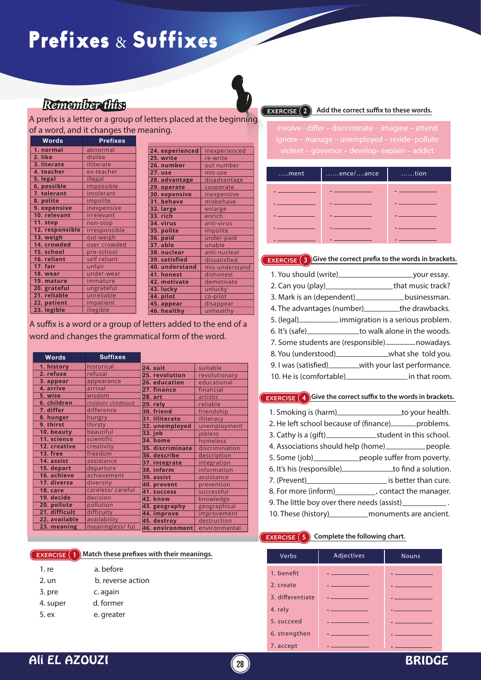# Prefixes & Suffixes

# *Remember this:*

**EXERCISE 2** Add the correct suffix to these words.

| $\dots$ ment | ence/ance | $\dots$ tion |
|--------------|-----------|--------------|
|              |           |              |
|              |           |              |
|              |           |              |
|              |           |              |
|              |           |              |

### **EXERCISE 3** Give the correct prefix to the words in brackets.

| 2. Can you (play)_________________________that music track? |  |
|-------------------------------------------------------------|--|
| 3. Mark is an (dependent)_________________businessman.      |  |
| 4. The advantages (number)____________the drawbacks.        |  |
| 5. (legal) ______________ immigration is a serious problem. |  |
| 6. It's (safe) ________________to walk alone in the woods.  |  |
| 7. Some students are (responsible) __________ nowadays.     |  |
| 8. You (understood)__________________what she told you.     |  |
| 9. I was (satisfied) ________with your last performance.    |  |
| 10. He is (comfortable) in that room.                       |  |

### **EXERCISE 4** Give the correct suffix to the words in brackets.

| 1. Smoking is (harm)_ | to your health. |
|-----------------------|-----------------|
|                       |                 |

- 2. He left school because of (finance) \_\_\_\_\_\_\_ problems.
- 3. Cathy is a (gift) student in this school.
- 4. Associations should help (home) equals the people.
- 5. Some (job)\_\_\_\_\_\_\_\_\_\_\_\_\_people suffer from poverty.
- 6. It's his (responsible) to find a solution.
- 7. (Prevent) and is better than cure.
- 8. For more (inform) contact the manager.
- 9. The little boy over there needs (assist)
- 10. These (history) monuments are ancient.

### **EXERCISE**  $\left( 5 \right)$  Complete the following chart.

| Verbs            | Adjectives                                                                                                             | <b>Nouns</b>                                                                                                                                                                                                                         |
|------------------|------------------------------------------------------------------------------------------------------------------------|--------------------------------------------------------------------------------------------------------------------------------------------------------------------------------------------------------------------------------------|
| 1. benefit       | a construction of the construction of                                                                                  |                                                                                                                                                                                                                                      |
| 2. create        | <u> La componente de la componente de la componente de la componente de la componente de la componente de la compo</u> | a provincia de la construcción de la construcción de la construcción de la construcción de la construcción de                                                                                                                        |
| 3. differentiate | and the contract of the contract of                                                                                    | <u>and the company of the company of the company of the company of the company of the company of the company of the company of the company of the company of the company of the company of the company of the company of the com</u> |
| 4. rely          |                                                                                                                        |                                                                                                                                                                                                                                      |
| 5. succeed       | and the company of the company of                                                                                      |                                                                                                                                                                                                                                      |
| 6. strengthen    | the control of the control of the                                                                                      | the control of the control of the con-                                                                                                                                                                                               |
| 7. accept        |                                                                                                                        |                                                                                                                                                                                                                                      |

A prefix is a letter or a group of letters placed at the beginning of a word, and it changes the meaning.

| Words           | <b>Prefixes</b> |  |
|-----------------|-----------------|--|
| 1. normal       | abnormal        |  |
| 2. like         | dislike         |  |
| 3. literate     | illiterate      |  |
| 4. teacher      | ex-teacher      |  |
| 5. legal        | illegal         |  |
| 6. possible     | impossible      |  |
| 7. tolerant     | intolerant      |  |
| 8. polite       | impolite        |  |
| 9. expensive    | inexpensive     |  |
| 10. relevant    | irrelevant      |  |
| 11. stop        | non-stop        |  |
| 12. responsible | irresponsible   |  |
| 13. weigh       | out-weigh       |  |
| 14. crowded     | over crowded    |  |
| 15. school      | pre-school      |  |
| 16. reliant     | self reliant    |  |
| 17. fair        | unfair          |  |
| 18. wear        | under-wear      |  |
| 19. mature      | immature        |  |
| 20. grateful    | ungrateful      |  |
| 21. reliable    | unreliable      |  |
| 22. patient     | impatient       |  |
| 23. legible     | illegible       |  |

| 24. experienced | inexperienced  |
|-----------------|----------------|
| 25. write       | re-write       |
| 26. number      | out number     |
| 27. use         | mis-use        |
| 28. advantage   | disadvantage   |
| 29. operate     | cooperate      |
| 30. expensive   | inexpensive    |
| 31. behave      | misbehave      |
| 32. large       | enlarge        |
| 33. rich        | enrich         |
| 34. virus       | anti-virus     |
| 35. polite      | impolite       |
| 36. paid        | under-paid     |
| 37. able        | unable         |
| 38. nuclear     | anti-nuclear   |
| 39. satisfied   | dissatisfied   |
| 40. understand  | mis-understand |
| 41. honest      | dishonest      |
| 42. motivate    | demotivate     |
| 43. lucky       | unlucky        |
| 44. pilot       | co-pilot       |
| 45. appear      | disappear      |
| 46. healthy     | unhealthy      |
|                 |                |

A suffix is a word or a group of letters added to the end of a word and changes the grammatical form of the word.

| <b>Words</b>  | <b>Suffixes</b>     |                  |                |
|---------------|---------------------|------------------|----------------|
| 1. history    | historical          | $24.$ suit       | suitable       |
| 2. refuse     | refusal             | 25. revolution   | revolutionary  |
| 3. appear     | appearance          | 26. education    | educational    |
| 4. arrive     | arrival             | 27. finance      | financial      |
| 5. wise       | wisdom              | <b>28. art</b>   | artistic       |
| 6. children   | childish/ childhood | $29.$ rely       | reliable       |
| 7. differ     | difference          | 30. friend       | friendship     |
| 8. hunger     | hungry              | 31. illiterate   | illiteracy     |
| 9. thirst     | thirsty             | 32. unemployed   | unemployment   |
| 10. beauty    | beautiful           | 33. job          | jobless        |
| 11. science   | scientific          | 34. home         | homeless       |
| 12. creative  | creativity          | 35. discriminate | discrimination |
| 13. free      | freedom             | 36. describe     | description    |
| 14. assist    | assistance          | 37. integrate    | integration    |
| 15. depart    | departure           | 38. inform       | information    |
| 16. achieve   | achievement         | 39. assist       | assistance     |
| 17. diverse   | diversity           | 40. prevent      | prevention     |
| 18. care      | careless/ careful   | 41. success      | successful     |
| 19. decide    | decision            | 42. know         | knowledge      |
| 20. pollute   | pollution           | 43. geography    | geographical   |
| 21. difficult | difficulty          | 44. improve      | improvement    |
| 22. available | availability        | 45. destroy      | destruction    |
| 23. meaning   | meaningless/ful     | 46. environment  | environmental  |

### **EXERCISE** 1 **Match these prefixes with their meanings.**

| 1. re    | a, before         |
|----------|-------------------|
| 2. un    | b. reverse action |
| 3. pre   | c. again          |
| 4. super | d. former         |
| 5. ex    | e. greater        |
|          |                   |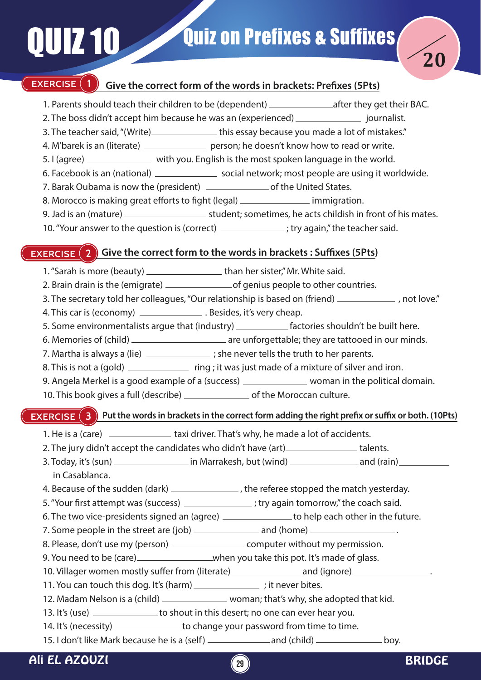

## **EXERCISE (1)** Give the correct form of the words in brackets: Prefixes (5Pts)

- 1. Parents should teach their children to be (dependent) \_\_\_\_\_\_\_\_\_\_\_\_\_\_\_\_\_\_after they get their BAC.
- 2. The boss didn't accept him because he was an (experienced) \_\_\_\_\_\_\_\_\_\_\_\_\_\_\_\_ journalist.
- 3. The teacher said, "(Write) \_\_\_\_\_\_\_\_\_\_\_\_\_\_\_\_this essay because you made a lot of mistakes."
- 4. M'barek is an (literate) \_\_\_\_\_\_\_\_\_\_\_\_\_\_\_ person; he doesn't know how to read or write.
- 5. I (agree) \_\_\_\_\_\_\_\_\_\_\_\_\_ with you. English is the most spoken language in the world.
- 6. Facebook is an (national) \_\_\_\_\_\_\_\_\_\_\_\_\_\_\_\_\_\_ social network; most people are using it worldwide.
- 7. Barak Oubama is now the (president) of the United States.
- 8. Morocco is making great efforts to fight (legal) immigration.
- 9. Jad is an (mature) student; sometimes, he acts childish in front of his mates.
- 10. "Your answer to the question is (correct) \_\_\_\_\_\_\_\_\_\_\_\_\_\_; try again," the teacher said.

# **EXERCISE (2) Give the correct form to the words in brackets : Suffixes (5Pts)**

- 1. "Sarah is more (beauty) \_\_\_\_\_\_\_\_\_\_\_\_\_\_\_\_\_\_\_\_\_\_\_than her sister," Mr. White said.
- 2. Brain drain is the (emigrate) of genius people to other countries.
- 3. The secretary told her colleagues, "Our relationship is based on (friend) \_\_\_\_\_\_\_\_\_\_\_\_\_\_, not love."
- 4. This car is (economy) \_\_\_\_\_\_\_\_\_\_\_\_\_\_\_\_\_. Besides, it's very cheap.
- 5. Some environmentalists argue that (industry) \_\_\_\_\_\_\_\_\_\_\_\_\_\_\_ factories shouldn't be built here.
- 6. Memories of (child) \_\_\_\_\_\_\_\_\_\_\_\_\_\_\_\_\_\_\_\_\_\_\_\_ are unforgettable; they are tattooed in our minds.
- 7. Martha is always a (lie)  $\frac{1}{2}$  ; she never tells the truth to her parents.
- 8. This is not a (gold) \_\_\_\_\_\_\_\_\_\_\_\_\_\_ ring ; it was just made of a mixture of silver and iron.
- 9. Angela Merkel is a good example of a (success) \_\_\_\_\_\_\_\_\_\_\_\_\_\_ woman in the political domain.
- 10. This book gives a full (describe) \_\_\_\_\_\_\_\_\_\_\_\_\_\_\_ of the Moroccan culture.

# **EXERCISE** (3) Put the words in brackets in the correct form adding the right prefix or suffix or both. (10Pts)

- 1. He is a (care) taxi driver. That's why, he made a lot of accidents.
- 2. The jury didn't accept the candidates who didn't have (art) \_\_\_\_\_\_\_\_\_\_\_\_\_\_\_\_ talents.
- 3. Today, it's (sun) in Marrakesh, but (wind) and (rain) in Casablanca.
- 4. Because of the sudden (dark)  $\frac{1}{1}$  , the referee stopped the match yesterday.
- 5. "Your first attempt was (success) \_\_\_\_\_\_\_\_\_\_\_\_\_\_\_; try again tomorrow," the coach said.
- 6. The two vice-presidents signed an (agree) \_\_\_\_\_\_\_\_\_\_\_\_\_\_\_ to help each other in the future.
- 7. Some people in the street are  $(job)$   $\qquad \qquad$  and  $(home)$   $\qquad \qquad$
- 8. Please, don't use my (person) \_\_\_\_\_\_\_\_\_\_\_\_\_\_\_\_\_\_\_\_\_\_ computer without my permission.
- 9. You need to be (care) \_\_\_\_\_\_\_\_\_\_\_\_\_\_\_\_\_\_when you take this pot. It's made of glass.
- 10. Villager women mostly suffer from (literate) \_\_\_\_\_\_\_\_\_\_\_\_\_\_\_\_\_\_\_\_\_\_\_\_\_\_\_\_\_\_\_
- 11. You can touch this dog. It's (harm) \_\_\_\_\_\_\_\_\_\_\_\_\_\_\_\_; it never bites.
- 12. Madam Nelson is a (child) \_\_\_\_\_\_\_\_\_\_\_\_\_\_\_ woman; that's why, she adopted that kid.
- 13. It's (use) \_\_\_\_\_\_\_\_\_\_\_\_\_\_\_ to shout in this desert; no one can ever hear you.
- 14. It's (necessity) \_\_\_\_\_\_\_\_\_\_\_\_\_\_\_ to change your password from time to time.
- 15. I don't like Mark because he is a (self) \_\_\_\_\_\_\_\_\_\_\_\_\_ and (child) \_\_\_\_\_\_\_\_\_\_ boy.



**20**